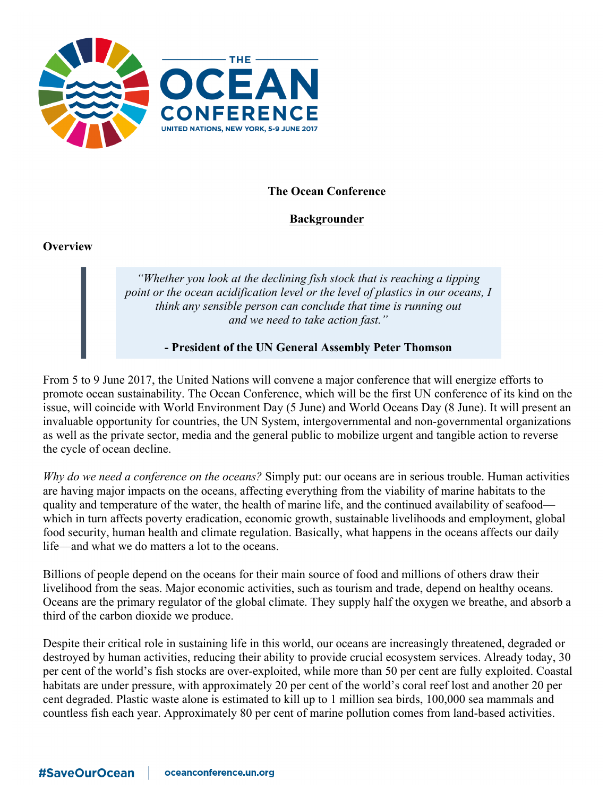

# **The Ocean Conference**

# **Backgrounder**

#### **Overview**

*"Whether you look at the declining fish stock that is reaching a tipping point or the ocean acidification level or the level of plastics in our oceans, I think any sensible person can conclude that time is running out and we need to take action fast."*

**- President of the UN General Assembly Peter Thomson**

From 5 to 9 June 2017, the United Nations will convene a major conference that will energize efforts to promote ocean sustainability. The Ocean Conference, which will be the first UN conference of its kind on the issue, will coincide with World Environment Day (5 June) and World Oceans Day (8 June). It will present an invaluable opportunity for countries, the UN System, intergovernmental and non-governmental organizations as well as the private sector, media and the general public to mobilize urgent and tangible action to reverse the cycle of ocean decline.

*Why do we need a conference on the oceans?* Simply put: our oceans are in serious trouble. Human activities are having major impacts on the oceans, affecting everything from the viability of marine habitats to the quality and temperature of the water, the health of marine life, and the continued availability of seafood which in turn affects poverty eradication, economic growth, sustainable livelihoods and employment, global food security, human health and climate regulation. Basically, what happens in the oceans affects our daily life—and what we do matters a lot to the oceans.

Billions of people depend on the oceans for their main source of food and millions of others draw their livelihood from the seas. Major economic activities, such as tourism and trade, depend on healthy oceans. Oceans are the primary regulator of the global climate. They supply half the oxygen we breathe, and absorb a third of the carbon dioxide we produce.

Despite their critical role in sustaining life in this world, our oceans are increasingly threatened, degraded or destroyed by human activities, reducing their ability to provide crucial ecosystem services. Already today, 30 per cent of the world's fish stocks are over-exploited, while more than 50 per cent are fully exploited. Coastal habitats are under pressure, with approximately 20 per cent of the world's coral reef lost and another 20 per cent degraded. Plastic waste alone is estimated to kill up to 1 million sea birds, 100,000 sea mammals and countless fish each year. Approximately 80 per cent of marine pollution comes from land-based activities.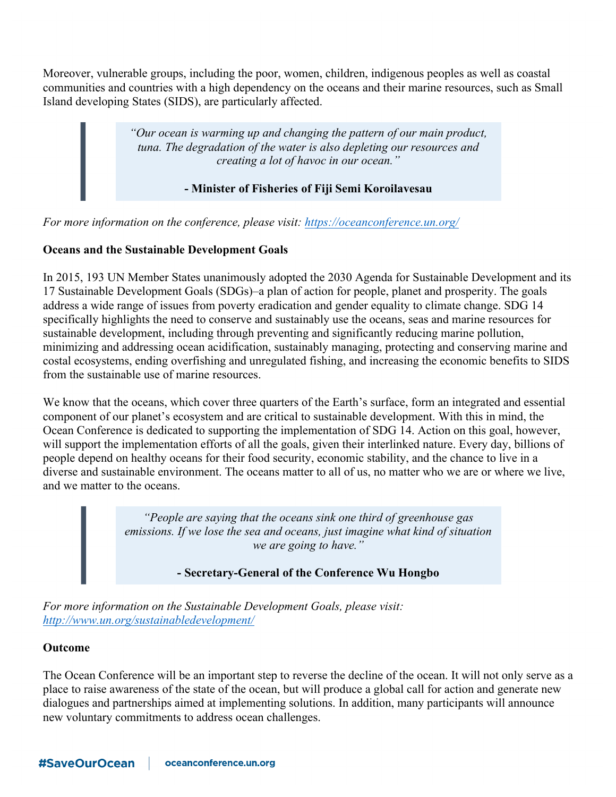Moreover, vulnerable groups, including the poor, women, children, indigenous peoples as well as coastal communities and countries with a high dependency on the oceans and their marine resources, such as Small Island developing States (SIDS), are particularly affected.

> *"Our ocean is warming up and changing the pattern of our main product, tuna. The degradation of the water is also depleting our resources and creating a lot of havoc in our ocean."*

> > **- Minister of Fisheries of Fiji Semi Koroilavesau**

*For more information on the conference, please visit: https://oceanconference.un.org/*

# **Oceans and the Sustainable Development Goals**

In 2015, 193 UN Member States unanimously adopted the 2030 Agenda for Sustainable Development and its 17 Sustainable Development Goals (SDGs)–a plan of action for people, planet and prosperity. The goals address a wide range of issues from poverty eradication and gender equality to climate change. SDG 14 specifically highlights the need to conserve and sustainably use the oceans, seas and marine resources for sustainable development, including through preventing and significantly reducing marine pollution, minimizing and addressing ocean acidification, sustainably managing, protecting and conserving marine and costal ecosystems, ending overfishing and unregulated fishing, and increasing the economic benefits to SIDS from the sustainable use of marine resources.

We know that the oceans, which cover three quarters of the Earth's surface, form an integrated and essential component of our planet's ecosystem and are critical to sustainable development. With this in mind, the Ocean Conference is dedicated to supporting the implementation of SDG 14. Action on this goal, however, will support the implementation efforts of all the goals, given their interlinked nature. Every day, billions of people depend on healthy oceans for their food security, economic stability, and the chance to live in a diverse and sustainable environment. The oceans matter to all of us, no matter who we are or where we live, and we matter to the oceans.

> *"People are saying that the oceans sink one third of greenhouse gas emissions. If we lose the sea and oceans, just imagine what kind of situation we are going to have."*

> > **- Secretary-General of the Conference Wu Hongbo**

*For more information on the Sustainable Development Goals, please visit: http://www.un.org/sustainabledevelopment/*

#### **Outcome**

The Ocean Conference will be an important step to reverse the decline of the ocean. It will not only serve as a place to raise awareness of the state of the ocean, but will produce a global call for action and generate new dialogues and partnerships aimed at implementing solutions. In addition, many participants will announce new voluntary commitments to address ocean challenges.